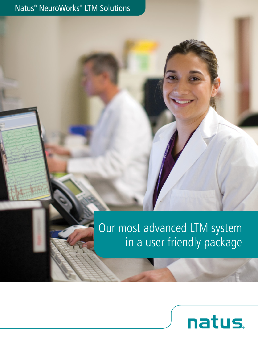# Natus® NeuroWorks® LTM Solutions

# Our most advanced LTM system in a user friendly package

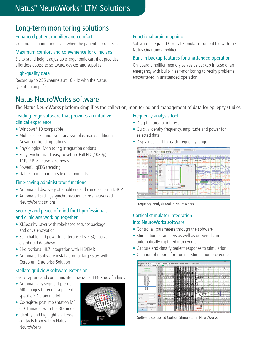# Natus® NeuroWorks® LTM Solutions

# Long-term monitoring solutions

#### Enhanced patient mobility and comfort

Continuous monitoring, even when the patient disconnects

#### Maximum comfort and convenience for clinicians

Sit-to-stand height adjustable, ergonomic cart that provides effortless access to software, devices and supplies

#### High-quality data

Record up to 256 channels at 16 kHz with the Natus Quantum amplifier

# Natus NeuroWorks software

The Natus NeuroWorks platform simplifies the collection, monitoring and management of data for epilepsy studies

#### Leading-edge software that provides an intuitive clinical experience

- **•** Windows® 10 compatible
- **•** Multiple spike and event analysis plus many additional Advanced Trending options
- **•** Physiological Monitoring Integration options
- **•** Fully synchronized, easy to set up, Full HD (1080p) TCP/IP PTZ network cameras
- **•** Powerful qEEG trending
- **•** Data sharing in multi-site environments

#### Time-saving administrator functions

- **•** Automated discovery of amplifiers and cameras using DHCP
- **•** Automated settings synchronization across networked NeuroWorks stations

#### Security and peace of mind for IT professionals and clinicians working together

- **•** XLSecurity Layer with role-based security package and drive encryption
- **•** Searchable and powerful enterprise level SQL server distributed database
- **•** Bi-directional HL7 integration with HIS/EMR
- **•** Automated software installation for large sites with Cerebrum Enterprise Solution

#### Stellate gridView software extension

Easily capture and communicate intracranial EEG study findings

- **•** Automatically segment pre-op MRI images to render a patient specific 3D brain model
- **•** Co-register post implantation MRI or CT images with the 3D model
- **•** Identify and highlight electrode contacts from within Natus NeuroWorks



#### Functional brain mapping

Software integrated Cortical Stimulator compatible with the Natus Quantum amplifier

#### Built-in backup features for unattended operation

On-board amplifier memory serves as backup in case of an emergency with built-in self-monitoring to rectify problems encountered in unattended operation

#### Frequency analysis tool

- **•** Drag the area of interest
- **•** Quickly identify frequency, amplitude and power for selected data
- **•** Display percent for each frequency range



Frequency analysis tool in NeuroWorks

#### Cortical stimulator integration into NeuroWorks software

- **•** Control all parameters through the software
- **•** Stimulation parameters as well as delivered current automatically captured into events
- **•** Capture and classify patient response to stimulation
- **•** Creation of reports for Cortical Stimulation procedures



Software controlled Cortical Stimulator in NeuroWorks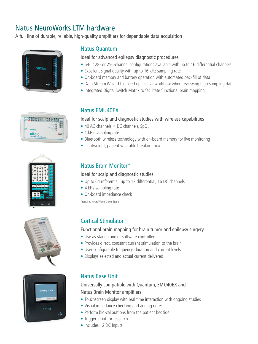# Natus NeuroWorks LTM hardware

A full line of durable, reliable, high-quality amplifiers for dependable data acquisition



| 88888888888888            |  |
|---------------------------|--|
|                           |  |
| natus                     |  |
| <b>xltek</b>              |  |
| EMU40003 Patient Breakout |  |







#### Natus Quantum

#### Ideal for advanced epilepsy diagnostic procedures

- **•** 64-, 128- or 256-channel configurations available with up to 16 differential channels
- **•** Excellent signal quality with up to 16 kHz sampling rate
- **•** On-board memory and battery operation with automated backfill of data
- **•** Data Stream Wizard to speed up clinical workflow when reviewing high sampling data
- **•** Integrated Digital Switch Matrix to facilitate functional brain mapping

#### Natus EMU40EX

#### Ideal for scalp and diagnostic studies with wireless capabilities

- 40 AC channels, 4 DC channels, SpO<sub>2</sub>
- **•** 1 kHz sampling rate
- **•** Bluetooth wireless technology with on-board memory for live monitoring
- **•** Lightweight, patient wearable breakout box

#### Natus Brain Monitor\*

#### Ideal for scalp and diagnostic studies

- **•** Up to 64 referential, up to 12 differential, 16 DC channels
- **•** 4 kHz sampling rate
- **•** On-board impedance check

\*requires NeuroWorks 9.0 or higher

### Cortical Stimulator

#### Functional brain mapping for brain tumor and epilepsy surgery

- **•** Use as standalone or software controlled
- **•** Provides direct, constant current stimulation to the brain
- **•** User configurable frequency, duration and current levels
- **•** Displays selected and actual current delivered

#### Natus Base Unit

#### Universally compatible with Quantum, EMU40EX and Natus Brain Monitor amplifiers

- **•** Touchscreen display with real time interaction with ongoing studies
- **•** Visual impedance checking and adding notes
- **•** Perform bio-calibrations from the patient bedside
- **•** Trigger input for research
- **•** Includes 12 DC Inputs